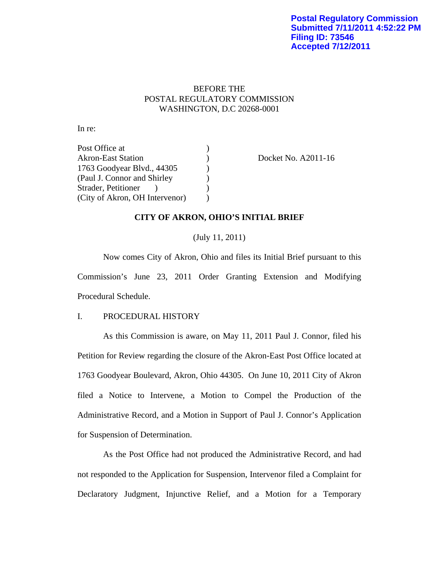# BEFORE THE POSTAL REGULATORY COMMISSION WASHINGTON, D.C 20268-0001

In re:

Post Office at (a) Akron-East Station (a) Docket No. A2011-16 1763 Goodyear Blvd., 44305 ) (Paul J. Connor and Shirley ) Strader, Petitioner ) (1) (City of Akron, OH Intervenor)  $\qquad$ )

# **CITY OF AKRON, OHIO'S INITIAL BRIEF**

(July 11, 2011)

Now comes City of Akron, Ohio and files its Initial Brief pursuant to this Commission's June 23, 2011 Order Granting Extension and Modifying Procedural Schedule.

### I. PROCEDURAL HISTORY

As this Commission is aware, on May 11, 2011 Paul J. Connor, filed his Petition for Review regarding the closure of the Akron-East Post Office located at 1763 Goodyear Boulevard, Akron, Ohio 44305. On June 10, 2011 City of Akron filed a Notice to Intervene, a Motion to Compel the Production of the Administrative Record, and a Motion in Support of Paul J. Connor's Application for Suspension of Determination.

As the Post Office had not produced the Administrative Record, and had not responded to the Application for Suspension, Intervenor filed a Complaint for Declaratory Judgment, Injunctive Relief, and a Motion for a Temporary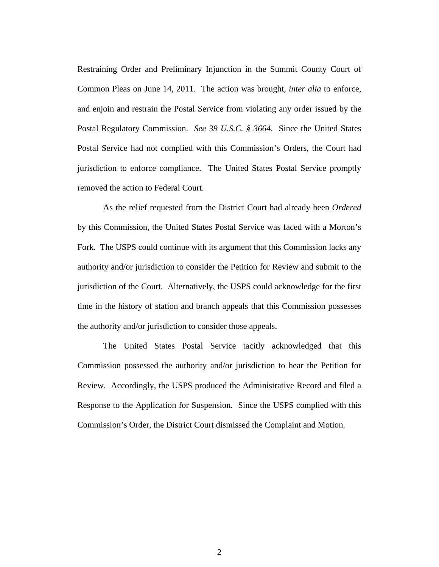Restraining Order and Preliminary Injunction in the Summit County Court of Common Pleas on June 14, 2011. The action was brought, *inter alia* to enforce, and enjoin and restrain the Postal Service from violating any order issued by the Postal Regulatory Commission. *See 39 U.S.C. § 3664*. Since the United States Postal Service had not complied with this Commission's Orders, the Court had jurisdiction to enforce compliance. The United States Postal Service promptly removed the action to Federal Court.

As the relief requested from the District Court had already been *Ordered* by this Commission, the United States Postal Service was faced with a Morton's Fork. The USPS could continue with its argument that this Commission lacks any authority and/or jurisdiction to consider the Petition for Review and submit to the jurisdiction of the Court. Alternatively, the USPS could acknowledge for the first time in the history of station and branch appeals that this Commission possesses the authority and/or jurisdiction to consider those appeals.

The United States Postal Service tacitly acknowledged that this Commission possessed the authority and/or jurisdiction to hear the Petition for Review. Accordingly, the USPS produced the Administrative Record and filed a Response to the Application for Suspension. Since the USPS complied with this Commission's Order, the District Court dismissed the Complaint and Motion.

2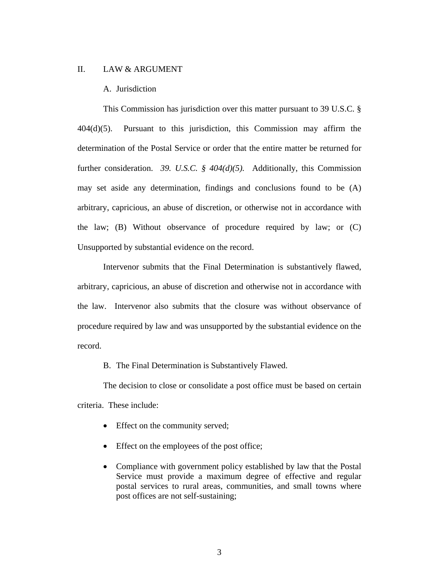#### II. LAW & ARGUMENT

#### A. Jurisdiction

This Commission has jurisdiction over this matter pursuant to 39 U.S.C. § 404(d)(5). Pursuant to this jurisdiction, this Commission may affirm the determination of the Postal Service or order that the entire matter be returned for further consideration. *39. U.S.C. § 404(d)(5).* Additionally, this Commission may set aside any determination, findings and conclusions found to be (A) arbitrary, capricious, an abuse of discretion, or otherwise not in accordance with the law; (B) Without observance of procedure required by law; or (C) Unsupported by substantial evidence on the record.

Intervenor submits that the Final Determination is substantively flawed, arbitrary, capricious, an abuse of discretion and otherwise not in accordance with the law. Intervenor also submits that the closure was without observance of procedure required by law and was unsupported by the substantial evidence on the record.

B. The Final Determination is Substantively Flawed.

The decision to close or consolidate a post office must be based on certain criteria. These include:

- Effect on the community served;
- Effect on the employees of the post office;
- Compliance with government policy established by law that the Postal Service must provide a maximum degree of effective and regular postal services to rural areas, communities, and small towns where post offices are not self-sustaining;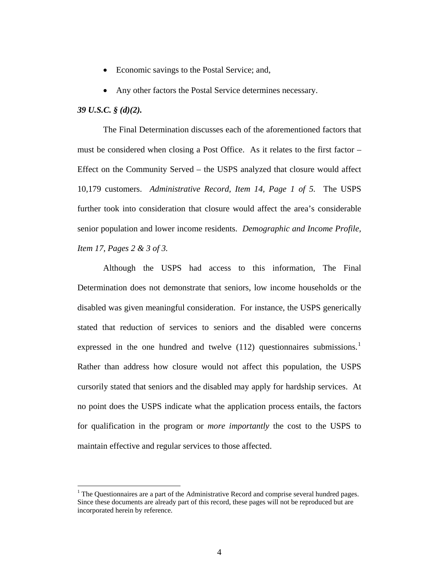- Economic savings to the Postal Service; and,
- Any other factors the Postal Service determines necessary.

### *39 U.S.C. § (d)(2).*

1

The Final Determination discusses each of the aforementioned factors that must be considered when closing a Post Office. As it relates to the first factor – Effect on the Community Served – the USPS analyzed that closure would affect 10,179 customers. *Administrative Record, Item 14, Page 1 of 5.* The USPS further took into consideration that closure would affect the area's considerable senior population and lower income residents. *Demographic and Income Profile, Item 17, Pages 2 & 3 of 3.*

Although the USPS had access to this information, The Final Determination does not demonstrate that seniors, low income households or the disabled was given meaningful consideration. For instance, the USPS generically stated that reduction of services to seniors and the disabled were concerns expressed in the one hundred and twelve  $(112)$  $(112)$  $(112)$  questionnaires submissions.<sup>1</sup> Rather than address how closure would not affect this population, the USPS cursorily stated that seniors and the disabled may apply for hardship services. At no point does the USPS indicate what the application process entails, the factors for qualification in the program or *more importantly* the cost to the USPS to maintain effective and regular services to those affected.

<span id="page-3-0"></span> $<sup>1</sup>$  The Questionnaires are a part of the Administrative Record and comprise several hundred pages.</sup> Since these documents are already part of this record, these pages will not be reproduced but are incorporated herein by reference.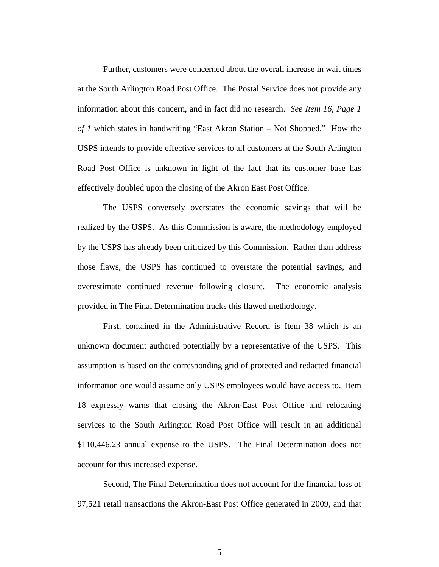Further, customers were concerned about the overall increase in wait times at the South Arlington Road Post Office. The Postal Service does not provide any information about this concern, and in fact did no research. *See Item 16, Page 1 of 1* which states in handwriting "East Akron Station – Not Shopped." How the USPS intends to provide effective services to all customers at the South Arlington Road Post Office is unknown in light of the fact that its customer base has effectively doubled upon the closing of the Akron East Post Office.

The USPS conversely overstates the economic savings that will be realized by the USPS. As this Commission is aware, the methodology employed by the USPS has already been criticized by this Commission. Rather than address those flaws, the USPS has continued to overstate the potential savings, and overestimate continued revenue following closure. The economic analysis provided in The Final Determination tracks this flawed methodology.

First, contained in the Administrative Record is Item 38 which is an unknown document authored potentially by a representative of the USPS. This assumption is based on the corresponding grid of protected and redacted financial information one would assume only USPS employees would have access to. Item 18 expressly warns that closing the Akron-East Post Office and relocating services to the South Arlington Road Post Office will result in an additional \$110,446.23 annual expense to the USPS. The Final Determination does not account for this increased expense.

Second, The Final Determination does not account for the financial loss of 97,521 retail transactions the Akron-East Post Office generated in 2009, and that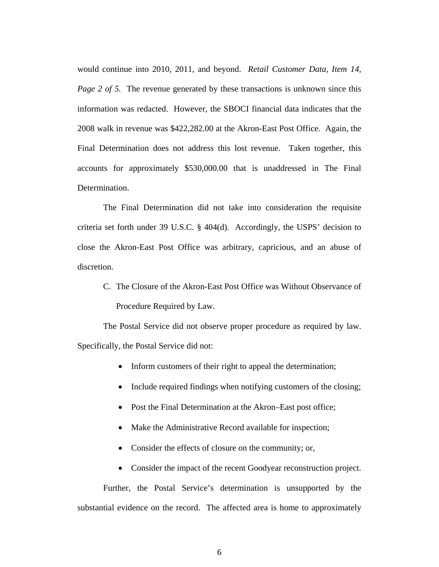would continue into 2010, 2011, and beyond. *Retail Customer Data, Item 14, Page 2 of 5.* The revenue generated by these transactions is unknown since this information was redacted. However, the SBOCI financial data indicates that the 2008 walk in revenue was \$422,282.00 at the Akron-East Post Office. Again, the Final Determination does not address this lost revenue. Taken together, this accounts for approximately \$530,000.00 that is unaddressed in The Final Determination.

The Final Determination did not take into consideration the requisite criteria set forth under 39 U.S.C. § 404(d). Accordingly, the USPS' decision to close the Akron-East Post Office was arbitrary, capricious, and an abuse of discretion.

C. The Closure of the Akron-East Post Office was Without Observance of Procedure Required by Law.

The Postal Service did not observe proper procedure as required by law. Specifically, the Postal Service did not:

- Inform customers of their right to appeal the determination;
- Include required findings when notifying customers of the closing;
- Post the Final Determination at the Akron–East post office;
- Make the Administrative Record available for inspection;
- Consider the effects of closure on the community; or,
- Consider the impact of the recent Goodyear reconstruction project.

Further, the Postal Service's determination is unsupported by the substantial evidence on the record. The affected area is home to approximately